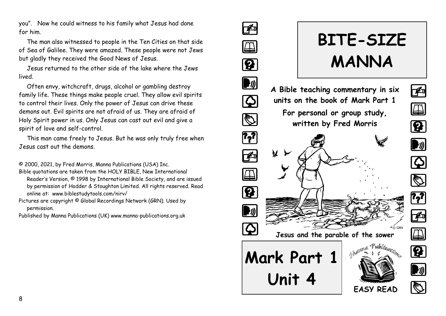you". Now he could witness to his family what Jesus had done for him.

The man also witnessed to people in the Ten Cities on that side of Sea of Galilee. They were amazed. These people were not Jews but gladly they received the Good News of Jesus.

Jesus returned to the other side of the lake where the Jews lived.

Often envy, witchcraft, drugs, alcohol or gambling destroy family life. These things make people cruel. They allow evil spirits to control their lives. Only the power of Jesus can drive these demons out. Evil spirits are not afraid of us. They are afraid of Holy Spirit power in us. Only Jesus can cast out evil and give a spirit of love and self-control.

This man came freely to Jesus. But he was only truly free when Jesus cast out the demons.

© 2000, 2021, by Fred Morris, Manna Publications (USA) Inc.

Bible quotations are taken from the HOLY BIBLE, New International Reader's Version, © 1998 by International Bible Society, and are issued by permission of Hodder & Stoughton Limited. All rights reserved. Read online at: www.biblestudytools.com/nirv/

Pictures are copyright © Global Recordings Network (GRN). Used by permission.

Published by Manna Publications (UK) www.manna-publications.org.uk

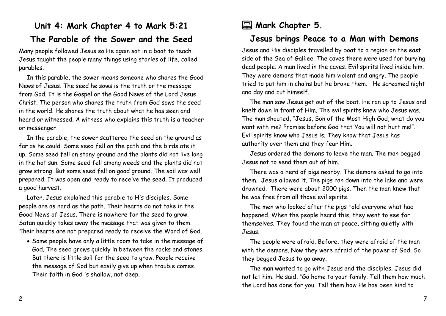#### **Unit 4: Mark Chapter 4 to Mark 5:21 The Parable of the Sower and the Seed**

Many people followed Jesus so He again sat in a boat to teach. Jesus taught the people many things using stories of life, called parables.

In this parable, the sower means someone who shares the Good News of Jesus. The seed he sows is the truth or the message from God. It is the Gospel or the Good News of the Lord Jesus Christ. The person who shares the truth from God sows the seed in the world. He shares the truth about what he has seen and heard or witnessed. A witness who explains this truth is a teacher or messenger.

In the parable, the sower scattered the seed on the ground as far as he could. Some seed fell on the path and the birds ate it up. Some seed fell on stony ground and the plants did not live long in the hot sun. Some seed fell among weeds and the plants did not grow strong. But some seed fell on good ground. The soil was well prepared. It was open and ready to receive the seed. It produced a good harvest.

Later, Jesus explained this parable to His disciples. Some people are as hard as the path. Their hearts do not take in the Good News of Jesus. There is nowhere for the seed to grow. Satan quickly takes away the message that was given to them. Their hearts are not prepared ready to receive the Word of God.

• Some people have only a little room to take in the message of God. The seed grows quickly in between the rocks and stones. But there is little soil for the seed to grow. People receive the message of God but easily give up when trouble comes. Their faith in God is shallow, not deep.

# **E Mark Chapter 5.**

### **Jesus brings Peace to a Man with Demons**

Jesus and His disciples travelled by boat to a region on the east side of the Sea of Galilee. The caves there were used for burying dead people. A man lived in the caves. Evil spirits lived inside him. They were demons that made him violent and angry. The people tried to put him in chains but he broke them. He screamed night and day and cut himself.

The man saw Jesus get out of the boat. He ran up to Jesus and knelt down in front of Him. The evil spirits knew who Jesus was. The man shouted, "Jesus, Son of the Most High God, what do you want with me? Promise before God that You will not hurt me!". Evil spirits know who Jesus is. They know that Jesus has authority over them and they fear Him.

Jesus ordered the demons to leave the man. The man begged Jesus not to send them out of him.

There was a herd of pigs nearby. The demons asked to go into them. Jesus allowed it. The pigs ran down into the lake and were drowned. There were about 2000 pigs. Then the man knew that he was free from all those evil spirits.

The men who looked after the pigs told everyone what had happened. When the people heard this, they went to see for themselves. They found the man at peace, sitting quietly with Jesus.

The people were afraid. Before, they were afraid of the man with the demons. Now they were afraid of the power of God. So they begged Jesus to go away.

The man wanted to go with Jesus and the disciples. Jesus did not let him. He said, "Go home to your family. Tell them how much the Lord has done for you. Tell them how He has been kind to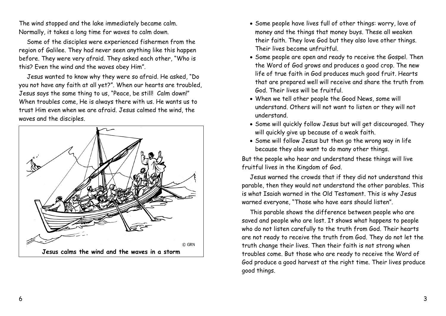The wind stopped and the lake immediately became calm. Normally, it takes a long time for waves to calm down.

Some of the disciples were experienced fishermen from the region of Galilee. They had never seen anything like this happen before. They were very afraid. They asked each other, "Who is this? Even the wind and the waves obey Him".

Jesus wanted to know why they were so afraid. He asked, "Do you not have any faith at all yet?". When our hearts are troubled, Jesus says the same thing to us, "Peace, be still! Calm down!" When troubles come, He is always there with us. He wants us to trust Him even when we are afraid. Jesus calmed the wind, the waves and the disciples.



- Some people have lives full of other things: worry, love of money and the things that money buys. These all weaken their faith. They love God but they also love other things. Their lives become unfruitful.
- Some people are open and ready to receive the Gospel. Then the Word of God grows and produces a good crop. The new life of true faith in God produces much good fruit. Hearts that are prepared well will receive and share the truth from God. Their lives will be fruitful.
- When we tell other people the Good News, some will understand. Others will not want to listen or they will not understand.
- Some will quickly follow Jesus but will get discouraged. They will quickly give up because of a weak faith.
- Some will follow Jesus but then go the wrong way in life because they also want to do many other things.

But the people who hear and understand these things will live fruitful lives in the Kingdom of God.

Jesus warned the crowds that if they did not understand this parable, then they would not understand the other parables. This is what Isaiah warned in the Old Testament. This is why Jesus warned everyone, "Those who have ears should listen".

This parable shows the difference between people who are saved and people who are lost. It shows what happens to people who do not listen carefully to the truth from God. Their hearts are not ready to receive the truth from God. They do not let the truth change their lives. Then their faith is not strong when troubles come. But those who are ready to receive the Word of God produce a good harvest at the right time. Their lives produce good things.